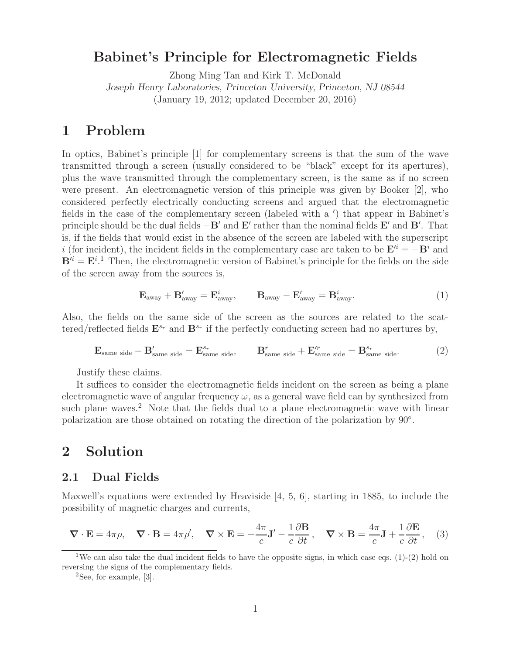# **Babinet's Principle for Electromagnetic Fields**

Zhong Ming Tan and Kirk T. McDonald *Joseph Henry Laboratories, Princeton University, Princeton, NJ 08544* (January 19, 2012; updated December 20, 2016)

## **1 Problem**

In optics, Babinet's principle [1] for complementary screens is that the sum of the wave transmitted through a screen (usually considered to be "black" except for its apertures), plus the wave transmitted through the complementary screen, is the same as if no screen were present. An electromagnetic version of this principle was given by Booker [2], who considered perfectly electrically conducting screens and argued that the electromagnetic fields in the case of the complementary screen (labeled with a ') that appear in Babinet's principle should be the **dual** fields  $-\mathbf{B}'$  and  $\mathbf{E}'$  rather than the nominal fields  $\mathbf{E}'$  and  $\mathbf{B}'$ . That is, if the fields that would exist in the absence of the screen are labeled with the superscript i (for incident), the incident fields in the complementary case are taken to be  $\mathbf{E}'^i = -\mathbf{B}^i$  and  $B^{\prime i} = E^{i}$ .<sup>1</sup> Then, the electromagnetic version of Babinet's principle for the fields on the side of the screen away from the sources is,

$$
\mathbf{E}_{\text{away}} + \mathbf{B}'_{\text{away}} = \mathbf{E}^i_{\text{away}}, \qquad \mathbf{B}_{\text{away}} - \mathbf{E}'_{\text{away}} = \mathbf{B}^i_{\text{away}}.
$$
 (1)

Also, the fields on the same side of the screen as the sources are related to the scattered/reflected fields  $\mathbf{E}^{s_r}$  and  $\mathbf{B}^{s_r}$  if the perfectly conducting screen had no apertures by,

$$
\mathbf{E}_{\text{same side}} - \mathbf{B}_{\text{same side}}' = \mathbf{E}_{\text{same side}}^{s_r}, \qquad \mathbf{B}_{\text{same side}}^r + \mathbf{E}_{\text{same side}}'^r = \mathbf{B}_{\text{same side}}^{s_r}.
$$
 (2)

Justify these claims.

It suffices to consider the electromagnetic fields incident on the screen as being a plane electromagnetic wave of angular frequency  $\omega$ , as a general wave field can by synthesized from such plane waves.<sup>2</sup> Note that the fields dual to a plane electromagnetic wave with linear polarization are those obtained on rotating the direction of the polarization by 90°.

## **2 Solution**

#### **2.1 Dual Fields**

Maxwell's equations were extended by Heaviside [4, 5, 6], starting in 1885, to include the possibility of magnetic charges and currents,

$$
\nabla \cdot \mathbf{E} = 4\pi \rho, \quad \nabla \cdot \mathbf{B} = 4\pi \rho', \quad \nabla \times \mathbf{E} = -\frac{4\pi}{c} \mathbf{J}' - \frac{1}{c} \frac{\partial \mathbf{B}}{\partial t}, \quad \nabla \times \mathbf{B} = \frac{4\pi}{c} \mathbf{J} + \frac{1}{c} \frac{\partial \mathbf{E}}{\partial t}, \quad (3)
$$

<sup>&</sup>lt;sup>1</sup>We can also take the dual incident fields to have the opposite signs, in which case eqs. (1)-(2) hold on reversing the signs of the complementary fields.

 ${}^{2}$ See, for example, [3].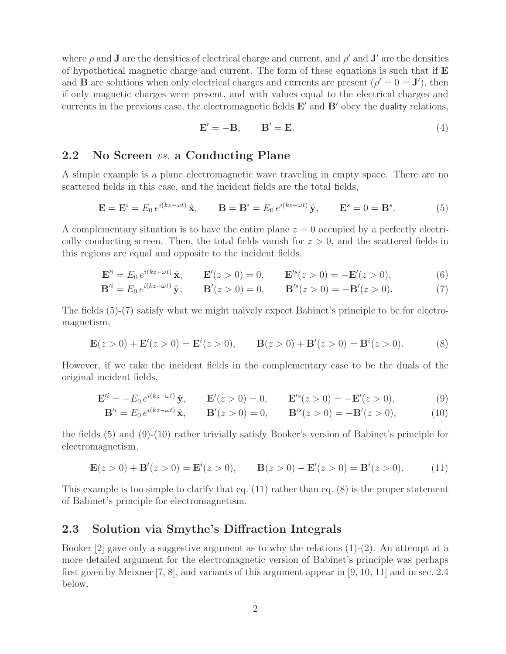where  $\rho$  and **J** are the densities of electrical charge and current, and  $\rho'$  and **J**<sup> $\prime$ </sup> are the densities of hypothetical magnetic charge and current. The form of these equations is such that if **E** and **B** are solutions when only electrical charges and currents are present  $(\rho' = 0 = J')$ , then if only magnetic charges were present, and with values equal to the electrical charges and currents in the previous case, the electromagnetic fields  $E'$  and  $B'$  obey the **duality** relations,

$$
\mathbf{E}' = -\mathbf{B}, \qquad \mathbf{B}' = \mathbf{E}.\tag{4}
$$

### **2.2 No Screen** *vs.* **a Conducting Plane**

A simple example is a plane electromagnetic wave traveling in empty space. There are no scattered fields in this case, and the incident fields are the total fields,

$$
\mathbf{E} = \mathbf{E}^i = E_0 e^{i(kz - \omega t)} \hat{\mathbf{x}}, \qquad \mathbf{B} = \mathbf{B}^i = E_0 e^{i(kz - \omega t)} \hat{\mathbf{y}}, \qquad \mathbf{E}^s = 0 = \mathbf{B}^s.
$$
 (5)

A complementary situation is to have the entire plane  $z = 0$  occupied by a perfectly electrically conducting screen. Then, the total fields vanish for  $z > 0$ , and the scattered fields in this regions are equal and opposite to the incident fields,

$$
\mathbf{E}'^{i} = E_{0} e^{i(kz - \omega t)} \hat{\mathbf{x}}, \qquad \mathbf{E}'(z > 0) = 0, \qquad \mathbf{E}'^{s}(z > 0) = -\mathbf{E}'(z > 0), \tag{6}
$$

$$
\mathbf{B}'^{i} = E_{0} e^{i(kz - \omega t)} \hat{\mathbf{y}}, \qquad \mathbf{B}'(z > 0) = 0, \qquad \mathbf{B}'^{s}(z > 0) = -\mathbf{B}'(z > 0). \tag{7}
$$

The fields  $(5)-(7)$  satisfy what we might naïvely expect Babinet's principle to be for electromagnetism,

$$
\mathbf{E}(z>0) + \mathbf{E}'(z>0) = \mathbf{E}^i(z>0), \qquad \mathbf{B}(z>0) + \mathbf{B}'(z>0) = \mathbf{B}^i(z>0).
$$
 (8)

However, if we take the incident fields in the complementary case to be the duals of the original incident fields,

$$
\mathbf{E}'^{i} = -E_0 e^{i(kz - \omega t)} \hat{\mathbf{y}}, \qquad \mathbf{E}'(z > 0) = 0, \qquad \mathbf{E}'^{s}(z > 0) = -\mathbf{E}'(z > 0), \tag{9}
$$

$$
\mathbf{B}'^{i} = E_0 e^{i(kz - \omega t)} \hat{\mathbf{x}}, \qquad \mathbf{B}'(z > 0) = 0, \qquad \mathbf{B}'^{s}(z > 0) = -\mathbf{B}'(z > 0), \tag{10}
$$

the fields (5) and (9)-(10) rather trivially satisfy Booker's version of Babinet's principle for electromagnetism,

$$
\mathbf{E}(z>0) + \mathbf{B}'(z>0) = \mathbf{E}^i(z>0), \qquad \mathbf{B}(z>0) - \mathbf{E}'(z>0) = \mathbf{B}^i(z>0). \tag{11}
$$

This example is too simple to clarify that eq. (11) rather than eq. (8) is the proper statement of Babinet's principle for electromagnetism.

### **2.3 Solution via Smythe's Diffraction Integrals**

Booker  $[2]$  gave only a suggestive argument as to why the relations  $(1)-(2)$ . An attempt at a more detailed argument for the electromagnetic version of Babinet's principle was perhaps first given by Meixner [7, 8], and variants of this argument appear in [9, 10, 11] and in sec. 2.4 below.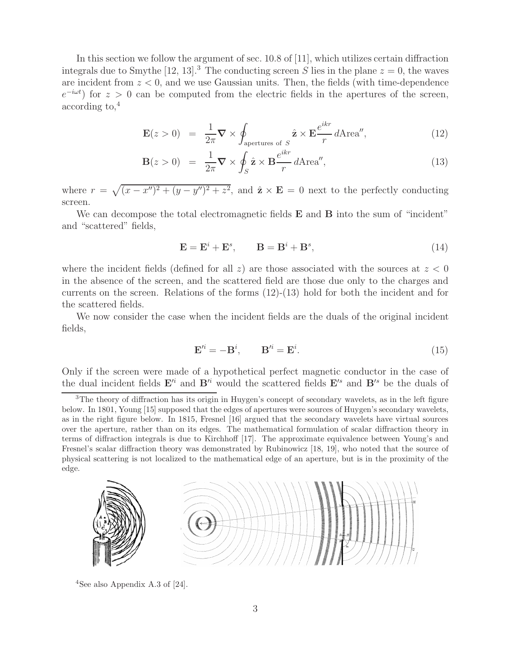In this section we follow the argument of sec. 10.8 of [11], which utilizes certain diffraction integrals due to Smythe [12, 13].<sup>3</sup> The conducting screen S lies in the plane  $z = 0$ , the waves are incident from  $z < 0$ , and we use Gaussian units. Then, the fields (with time-dependence  $e^{-i\omega t}$  for  $z > 0$  can be computed from the electric fields in the apertures of the screen, according to,<sup>4</sup>

$$
\mathbf{E}(z>0) = \frac{1}{2\pi} \nabla \times \oint_{\text{apertures of } S} \hat{\mathbf{z}} \times \mathbf{E} \frac{e^{ikr}}{r} d\text{Area''},\tag{12}
$$

$$
\mathbf{B}(z>0) = \frac{1}{2\pi} \nabla \times \oint_{S} \hat{\mathbf{z}} \times \mathbf{B} \frac{e^{ikr}}{r} d\text{Area''},
$$
(13)

where  $r = \sqrt{(x - x'')^2 + (y - y'')^2 + z^2}$ , and  $\hat{\mathbf{z}} \times \mathbf{E} = 0$  next to the perfectly conducting screen.

We can decompose the total electromagnetic fields **E** and **B** into the sum of "incident" and "scattered" fields,

$$
\mathbf{E} = \mathbf{E}^i + \mathbf{E}^s, \qquad \mathbf{B} = \mathbf{B}^i + \mathbf{B}^s,\tag{14}
$$

where the incident fields (defined for all z) are those associated with the sources at  $z < 0$ in the absence of the screen, and the scattered field are those due only to the charges and currents on the screen. Relations of the forms (12)-(13) hold for both the incident and for the scattered fields.

We now consider the case when the incident fields are the duals of the original incident fields,

$$
\mathbf{E}'^i = -\mathbf{B}^i, \qquad \mathbf{B}'^i = \mathbf{E}^i. \tag{15}
$$

Only if the screen were made of a hypothetical perfect magnetic conductor in the case of the dual incident fields  $\mathbf{E}'^i$  and  $\mathbf{B}'^i$  would the scattered fields  $\mathbf{E}'^s$  and  $\mathbf{B}'^s$  be the duals of

 $3$ The theory of diffraction has its origin in Huygen's concept of secondary wavelets, as in the left figure below. In 1801, Young [15] supposed that the edges of apertures were sources of Huygen's secondary wavelets, as in the right figure below. In 1815, Fresnel [16] argued that the secondary wavelets have virtual sources over the aperture, rather than on its edges. The mathematical formulation of scalar diffraction theory in terms of diffraction integrals is due to Kirchhoff [17]. The approximate equivalence between Young's and Fresnel's scalar diffraction theory was demonstrated by Rubinowicz [18, 19], who noted that the source of physical scattering is not localized to the mathematical edge of an aperture, but is in the proximity of the edge.



<sup>4</sup>See also Appendix A.3 of  $[24]$ .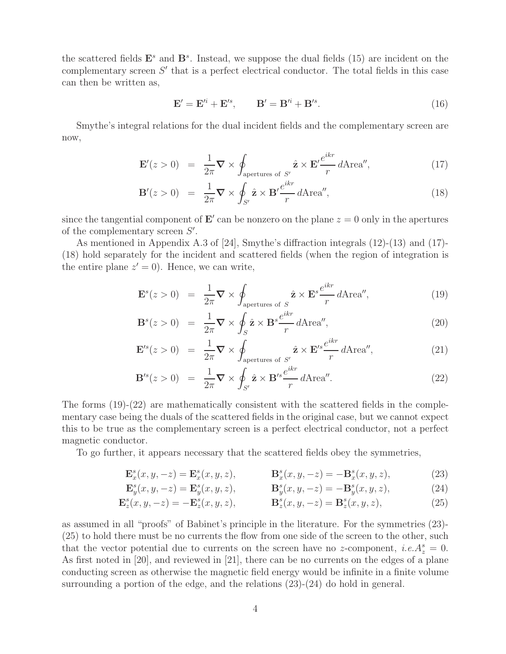the scattered fields  $\mathbf{E}^s$  and  $\mathbf{B}^s$ . Instead, we suppose the dual fields (15) are incident on the complementary screen  $S'$  that is a perfect electrical conductor. The total fields in this case can then be written as,

$$
\mathbf{E}' = \mathbf{E}'^i + \mathbf{E}'^s, \qquad \mathbf{B}' = \mathbf{B}'^i + \mathbf{B}'^s. \tag{16}
$$

Smythe's integral relations for the dual incident fields and the complementary screen are now,

$$
\mathbf{E}'(z>0) = \frac{1}{2\pi} \nabla \times \oint_{\text{apertures of } S'} \hat{\mathbf{z}} \times \mathbf{E}' \frac{e^{ikr}}{r} d\text{Area}'', \tag{17}
$$

$$
\mathbf{B}'(z>0) = \frac{1}{2\pi} \nabla \times \oint_{S'} \hat{\mathbf{z}} \times \mathbf{B}' \frac{e^{ikr}}{r} d\text{Area''},\tag{18}
$$

since the tangential component of  $\mathbf{E}'$  can be nonzero on the plane  $z = 0$  only in the apertures of the complementary screen  $S'$ .

As mentioned in Appendix A.3 of [24], Smythe's diffraction integrals (12)-(13) and (17)- (18) hold separately for the incident and scattered fields (when the region of integration is the entire plane  $z' = 0$ ). Hence, we can write,

$$
\mathbf{E}^s(z>0) = \frac{1}{2\pi} \nabla \times \oint_{\text{apertures of } S} \hat{\mathbf{z}} \times \mathbf{E}^s \frac{e^{ikr}}{r} d\text{Area''},\tag{19}
$$

$$
\mathbf{B}^s(z>0) = \frac{1}{2\pi} \nabla \times \oint_S \hat{\mathbf{z}} \times \mathbf{B}^s \frac{e^{ikr}}{r} d\text{Area''},\tag{20}
$$

$$
\mathbf{E}'^s(z>0) = \frac{1}{2\pi} \nabla \times \oint_{\text{apertures of } S'} \hat{\mathbf{z}} \times \mathbf{E}'^s \frac{e^{ikr}}{r} d\text{Area}'', \tag{21}
$$

$$
\mathbf{B}^{\prime s}(z>0) = \frac{1}{2\pi} \nabla \times \oint_{S'} \hat{\mathbf{z}} \times \mathbf{B}^{\prime s} \frac{e^{ikr}}{r} d\text{Area}^{\prime\prime}.
$$
 (22)

The forms  $(19)-(22)$  are mathematically consistent with the scattered fields in the complementary case being the duals of the scattered fields in the original case, but we cannot expect this to be true as the complementary screen is a perfect electrical conductor, not a perfect magnetic conductor.

To go further, it appears necessary that the scattered fields obey the symmetries,

$$
\mathbf{E}_x^s(x, y, -z) = \mathbf{E}_x^s(x, y, z), \qquad \mathbf{B}_x^s(x, y, -z) = -\mathbf{B}_x^s(x, y, z), \tag{23}
$$

$$
\mathbf{E}_y^s(x, y, -z) = \mathbf{E}_y^s(x, y, z), \qquad \mathbf{B}_y^s(x, y, -z) = -\mathbf{B}_y^s(x, y, z), \tag{24}
$$

$$
\mathbf{E}_z^s(x, y, -z) = -\mathbf{E}_z^s(x, y, z), \qquad \mathbf{B}_z^s(x, y, -z) = \mathbf{B}_z^s(x, y, z), \tag{25}
$$

as assumed in all "proofs" of Babinet's principle in the literature. For the symmetries (23)- (25) to hold there must be no currents the flow from one side of the screen to the other, such that the vector potential due to currents on the screen have no z-component, *i.e.* $A_z^s = 0$ . As first noted in [20], and reviewed in [21], there can be no currents on the edges of a plane conducting screen as otherwise the magnetic field energy would be infinite in a finite volume surrounding a portion of the edge, and the relations (23)-(24) do hold in general.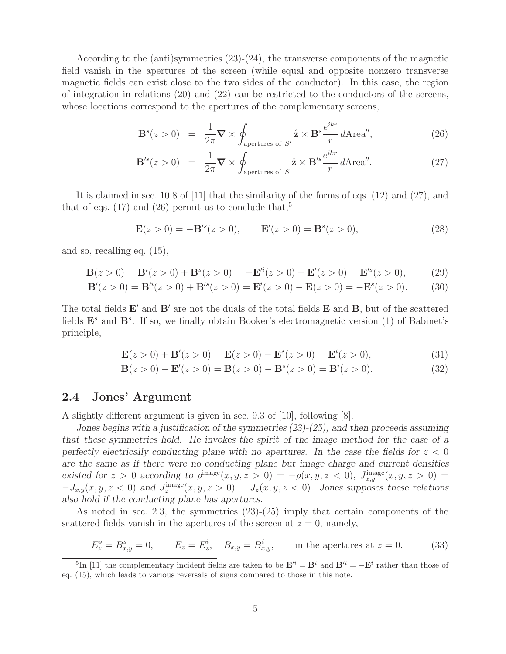According to the (anti)symmetries  $(23)-(24)$ , the transverse components of the magnetic field vanish in the apertures of the screen (while equal and opposite nonzero transverse magnetic fields can exist close to the two sides of the conductor). In this case, the region of integration in relations (20) and (22) can be restricted to the conductors of the screens, whose locations correspond to the apertures of the complementary screens,

$$
\mathbf{B}^s(z>0) = \frac{1}{2\pi} \nabla \times \oint_{\text{apertures of } S'} \hat{\mathbf{z}} \times \mathbf{B}^s \frac{e^{ikr}}{r} d\text{Area''},\tag{26}
$$

$$
\mathbf{B}^{\prime s}(z>0) = \frac{1}{2\pi} \nabla \times \oint_{\text{apertures of } S} \hat{\mathbf{z}} \times \mathbf{B}^{\prime s} \frac{e^{ikr}}{r} d\text{Area}^{\prime\prime}.
$$
 (27)

It is claimed in sec. 10.8 of [11] that the similarity of the forms of eqs. (12) and (27), and that of eqs. (17) and (26) permit us to conclude that,<sup>5</sup>

$$
\mathbf{E}(z>0) = -\mathbf{B}'^s(z>0), \qquad \mathbf{E}'(z>0) = \mathbf{B}^s(z>0), \tag{28}
$$

and so, recalling eq. (15),

$$
\mathbf{B}(z>0) = \mathbf{B}^{i}(z>0) + \mathbf{B}^{s}(z>0) = -\mathbf{E}'^{i}(z>0) + \mathbf{E}'(z>0) = \mathbf{E}'^{s}(z>0),
$$
 (29)

$$
\mathbf{B}'(z>0) = \mathbf{B}'^i(z>0) + \mathbf{B}'^s(z>0) = \mathbf{E}^i(z>0) - \mathbf{E}(z>0) = -\mathbf{E}^s(z>0). \tag{30}
$$

The total fields  $\mathbf{E}'$  and  $\mathbf{B}'$  are not the duals of the total fields  $\mathbf{E}$  and  $\mathbf{B}$ , but of the scattered fields  $\mathbf{E}^s$  and  $\mathbf{B}^s$ . If so, we finally obtain Booker's electromagnetic version (1) of Babinet's principle,

$$
\mathbf{E}(z>0) + \mathbf{B}'(z>0) = \mathbf{E}(z>0) - \mathbf{E}^s(z>0) = \mathbf{E}^i(z>0),
$$
\n(31)

$$
\mathbf{B}(z>0) - \mathbf{E}'(z>0) = \mathbf{B}(z>0) - \mathbf{B}^s(z>0) = \mathbf{B}^i(z>0).
$$
 (32)

#### **2.4 Jones' Argument**

A slightly different argument is given in sec. 9.3 of [10], following [8].

*Jones begins with a justification of the symmetries (23)-(25), and then proceeds assuming that these symmetries hold. He invokes the spirit of the image method for the case of a perfectly electrically conducting plane with no apertures. In the case the fields for*  $z < 0$ *are the same as if there were no conducting plane but image charge and current densities* existed for  $z > 0$  according to  $\rho^{\text{image}}(x, y, z > 0) = -\rho(x, y, z < 0)$ ,  $J_{x,y}^{\text{image}}(x, y, z > 0) =$  $-J_{x,y}(x, y, z < 0)$  and  $J_z^{\text{image}}(x, y, z > 0) = J_z(x, y, z < 0)$ *. Jones supposes these relations also hold if the conducting plane has apertures.*

As noted in sec. 2.3, the symmetries (23)-(25) imply that certain components of the scattered fields vanish in the apertures of the screen at  $z = 0$ , namely,

$$
E_z^s = B_{x,y}^s = 0,
$$
  $E_z = E_z^i,$   $B_{x,y} = B_{x,y}^i,$  in the apertures at  $z = 0.$  (33)

 $\sum_{i=1}^{5} \text{In}$  [11] the complementary incident fields are taken to be  $\mathbf{E}'^i = \mathbf{B}^i$  and  $\mathbf{B}'^i = -\mathbf{E}^i$  rather than those of eq. (15), which leads to various reversals of signs compared to those in this note.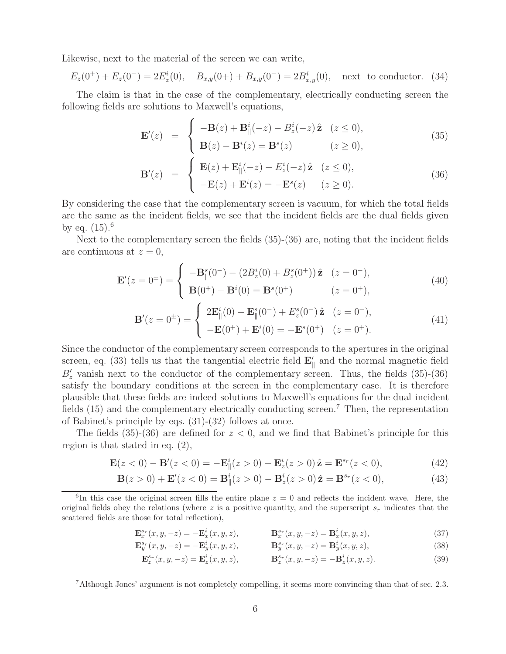Likewise, next to the material of the screen we can write,

$$
E_z(0^+) + E_z(0^-) = 2E_z^i(0), \quad B_{x,y}(0^+) + B_{x,y}(0^-) = 2B_{x,y}^i(0), \quad \text{next to conductor. (34)}
$$

The claim is that in the case of the complementary, electrically conducting screen the following fields are solutions to Maxwell's equations,

$$
\mathbf{E}'(z) = \begin{cases}\n-\mathbf{B}(z) + \mathbf{B}_{\parallel}^{i}(-z) - B_{z}^{i}(-z) \hat{\mathbf{z}} & (z \le 0), \\
\mathbf{B}(z) - \mathbf{B}^{i}(z) = \mathbf{B}^{s}(z) & (z \ge 0),\n\end{cases}
$$
\n(35)

$$
\mathbf{B}'(z) = \begin{cases} \mathbf{E}(z) + \mathbf{E}_{\parallel}^{i}(-z) - E_{z}^{i}(-z) \hat{\mathbf{z}} & (z \le 0), \\ -\mathbf{E}(z) + \mathbf{E}^{i}(z) = -\mathbf{E}^{s}(z) & (z \ge 0). \end{cases}
$$
(36)

By considering the case that the complementary screen is vacuum, for which the total fields are the same as the incident fields, we see that the incident fields are the dual fields given by eq.  $(15)^{6}$ 

Next to the complementary screen the fields (35)-(36) are, noting that the incident fields are continuous at  $z = 0$ ,

$$
\mathbf{E}'(z=0^{\pm}) = \begin{cases}\n-\mathbf{B}_{\parallel}^{s}(0^{-}) - (2B_{z}^{i}(0) + B_{z}^{s}(0^{+}))\hat{\mathbf{z}} & (z=0^{-}),\\
\mathbf{B}(0^{+}) - \mathbf{B}^{i}(0) = \mathbf{B}^{s}(0^{+}) & (z=0^{+}),\n\end{cases}
$$
\n(40)

$$
\mathbf{B}'(z=0^{\pm}) = \begin{cases} 2\mathbf{E}_{\parallel}^{i}(0) + \mathbf{E}_{\parallel}^{s}(0^{-}) + E_{z}^{s}(0^{-})\hat{\mathbf{z}} & (z=0^{-}),\\ -\mathbf{E}(0^{+}) + \mathbf{E}^{i}(0) = -\mathbf{E}^{s}(0^{+}) & (z=0^{+}). \end{cases}
$$
(41)

Since the conductor of the complementary screen corresponds to the apertures in the original screen, eq. (33) tells us that the tangential electric field  $\mathbf{E}'_{\parallel}$  and the normal magnetic field  $B'_z$  vanish next to the conductor of the complementary screen. Thus, the fields (35)-(36) satisfy the boundary conditions at the screen in the complementary case. It is therefore plausible that these fields are indeed solutions to Maxwell's equations for the dual incident fields  $(15)$  and the complementary electrically conducting screen.<sup>7</sup> Then, the representation of Babinet's principle by eqs. (31)-(32) follows at once.

The fields  $(35)-(36)$  are defined for  $z < 0$ , and we find that Babinet's principle for this region is that stated in eq. (2),

$$
\mathbf{E}(z<0) - \mathbf{B}'(z<0) = -\mathbf{E}_{\parallel}^{i}(z>0) + \mathbf{E}_{z}^{i}(z>0)\,\hat{\mathbf{z}} = \mathbf{E}^{s_{r}}(z<0),\tag{42}
$$

$$
\mathbf{B}(z>0) + \mathbf{E}'(z<0) = \mathbf{B}_{\parallel}^{i}(z>0) - \mathbf{B}_{z}^{i}(z>0)\,\hat{\mathbf{z}} = \mathbf{B}^{s_{r}}(z<0),\tag{43}
$$

<sup>6</sup>In this case the original screen fills the entire plane  $z = 0$  and reflects the incident wave. Here, the original fields obey the relations (where  $z$  is a positive quantity, and the superscript  $s_r$  indicates that the scattered fields are those for total reflection),

$$
\mathbf{E}_x^{s_r}(x, y, -z) = -\mathbf{E}_x^i(x, y, z), \qquad \mathbf{B}_x^{s_r}(x, y, -z) = \mathbf{B}_x^i(x, y, z), \tag{37}
$$

$$
\mathbf{E}_{y}^{s_{r}}(x, y, -z) = -\mathbf{E}_{y}^{i}(x, y, z), \qquad \mathbf{B}_{y}^{s_{r}}(x, y, -z) = \mathbf{B}_{y}^{i}(x, y, z), \qquad (38)
$$

$$
\mathbf{E}_{z}^{s_r}(x, y, -z) = \mathbf{E}_{z}^{i}(x, y, z), \qquad \mathbf{B}_{z}^{s_r}(x, y, -z) = -\mathbf{B}_{z}^{i}(x, y, z). \tag{39}
$$

<sup>7</sup>Although Jones' argument is not completely compelling, it seems more convincing than that of sec. 2.3.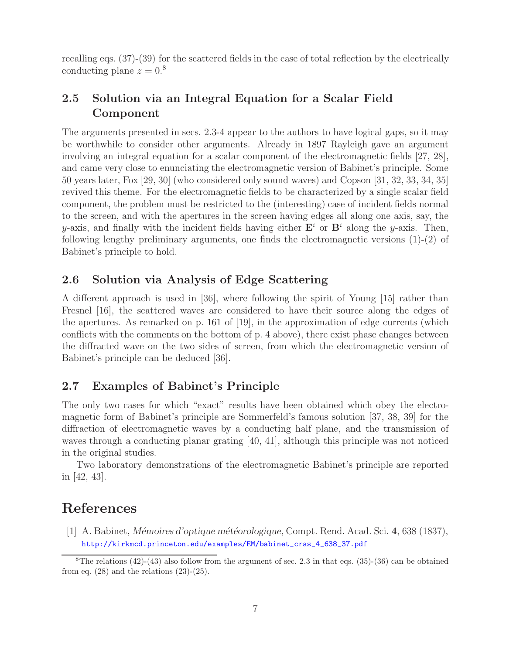recalling eqs. (37)-(39) for the scattered fields in the case of total reflection by the electrically conducting plane  $z = 0.8$ 

## **2.5 Solution via an Integral Equation for a Scalar Field Component**

The arguments presented in secs. 2.3-4 appear to the authors to have logical gaps, so it may be worthwhile to consider other arguments. Already in 1897 Rayleigh gave an argument involving an integral equation for a scalar component of the electromagnetic fields [27, 28], and came very close to enunciating the electromagnetic version of Babinet's principle. Some 50 years later, Fox [29, 30] (who considered only sound waves) and Copson [31, 32, 33, 34, 35] revived this theme. For the electromagnetic fields to be characterized by a single scalar field component, the problem must be restricted to the (interesting) case of incident fields normal to the screen, and with the apertures in the screen having edges all along one axis, say, the  $y$ -axis, and finally with the incident fields having either  $\mathbf{E}^i$  or  $\mathbf{B}^i$  along the y-axis. Then, following lengthy preliminary arguments, one finds the electromagnetic versions  $(1)-(2)$  of Babinet's principle to hold.

### **2.6 Solution via Analysis of Edge Scattering**

A different approach is used in [36], where following the spirit of Young [15] rather than Fresnel [16], the scattered waves are considered to have their source along the edges of the apertures. As remarked on p. 161 of [19], in the approximation of edge currents (which conflicts with the comments on the bottom of p. 4 above), there exist phase changes between the diffracted wave on the two sides of screen, from which the electromagnetic version of Babinet's principle can be deduced [36].

## **2.7 Examples of Babinet's Principle**

The only two cases for which "exact" results have been obtained which obey the electromagnetic form of Babinet's principle are Sommerfeld's famous solution [37, 38, 39] for the diffraction of electromagnetic waves by a conducting half plane, and the transmission of waves through a conducting planar grating [40, 41], although this principle was not noticed in the original studies.

Two laboratory demonstrations of the electromagnetic Babinet's principle are reported in [42, 43].

# **References**

[1] A. Babinet, *M´emoires d'optique m´et´eorologique*, Compt. Rend. Acad. Sci. **4**, 638 (1837), http://kirkmcd.princeton.edu/examples/EM/babinet\_cras\_4\_638\_37.pdf

<sup>&</sup>lt;sup>8</sup>The relations  $(42)-(43)$  also follow from the argument of sec. 2.3 in that eqs.  $(35)-(36)$  can be obtained from eq.  $(28)$  and the relations  $(23)-(25)$ .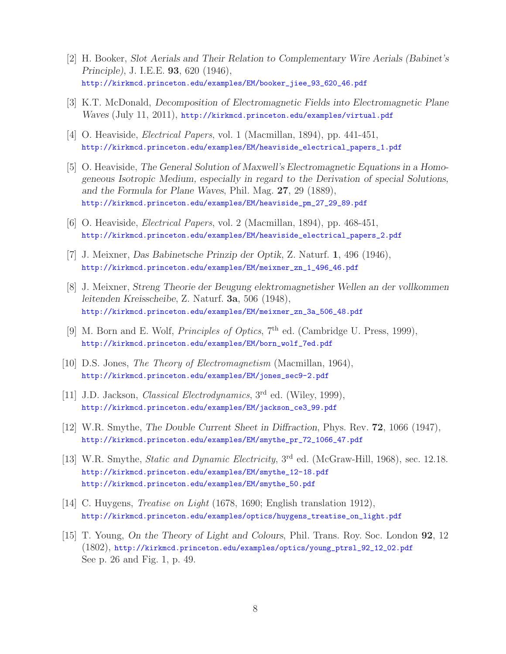- [2] H. Booker, *Slot Aerials and Their Relation to Complementary Wire Aerials (Babinet's Principle)*, J. I.E.E. **93**, 620 (1946), http://kirkmcd.princeton.edu/examples/EM/booker\_jiee\_93\_620\_46.pdf
- [3] K.T. McDonald, *Decomposition of Electromagnetic Fields into Electromagnetic Plane Waves* (July 11, 2011), http://kirkmcd.princeton.edu/examples/virtual.pdf
- [4] O. Heaviside, *Electrical Papers*, vol. 1 (Macmillan, 1894), pp. 441-451, http://kirkmcd.princeton.edu/examples/EM/heaviside\_electrical\_papers\_1.pdf
- [5] O. Heaviside, *The General Solution of Maxwell's Electromagnetic Equations in a Homogeneous Isotropic Medium, especially in regard to the Derivation of special Solutions, and the Formula for Plane Waves*, Phil. Mag. **27**, 29 (1889), http://kirkmcd.princeton.edu/examples/EM/heaviside\_pm\_27\_29\_89.pdf
- [6] O. Heaviside, *Electrical Papers*, vol. 2 (Macmillan, 1894), pp. 468-451, http://kirkmcd.princeton.edu/examples/EM/heaviside\_electrical\_papers\_2.pdf
- [7] J. Meixner, *Das Babinetsche Prinzip der Optik*, Z. Naturf. **1**, 496 (1946), http://kirkmcd.princeton.edu/examples/EM/meixner\_zn\_1\_496\_46.pdf
- [8] J. Meixner, *Streng Theorie der Beugung elektromagnetisher Wellen an der vollkommen leitenden Kreisscheibe*, Z. Naturf. **3a**, 506 (1948), http://kirkmcd.princeton.edu/examples/EM/meixner\_zn\_3a\_506\_48.pdf
- [9] M. Born and E. Wolf, *Principles of Optics*, 7<sup>th</sup> ed. (Cambridge U. Press, 1999), http://kirkmcd.princeton.edu/examples/EM/born\_wolf\_7ed.pdf
- [10] D.S. Jones, *The Theory of Electromagnetism* (Macmillan, 1964), http://kirkmcd.princeton.edu/examples/EM/jones\_sec9-2.pdf
- [11] J.D. Jackson, *Classical Electrodynamics*, 3rd ed. (Wiley, 1999), http://kirkmcd.princeton.edu/examples/EM/jackson\_ce3\_99.pdf
- [12] W.R. Smythe, *The Double Current Sheet in Diffraction*, Phys. Rev. **72**, 1066 (1947), http://kirkmcd.princeton.edu/examples/EM/smythe\_pr\_72\_1066\_47.pdf
- [13] W.R. Smythe, *Static and Dynamic Electricity*, 3rd ed. (McGraw-Hill, 1968), sec. 12.18. http://kirkmcd.princeton.edu/examples/EM/smythe\_12-18.pdf http://kirkmcd.princeton.edu/examples/EM/smythe\_50.pdf
- [14] C. Huygens, *Treatise on Light* (1678, 1690; English translation 1912), http://kirkmcd.princeton.edu/examples/optics/huygens\_treatise\_on\_light.pdf
- [15] T. Young, *On the Theory of Light and Colours*, Phil. Trans. Roy. Soc. London **92**, 12 (1802), http://kirkmcd.princeton.edu/examples/optics/young\_ptrsl\_92\_12\_02.pdf See p. 26 and Fig. 1, p. 49.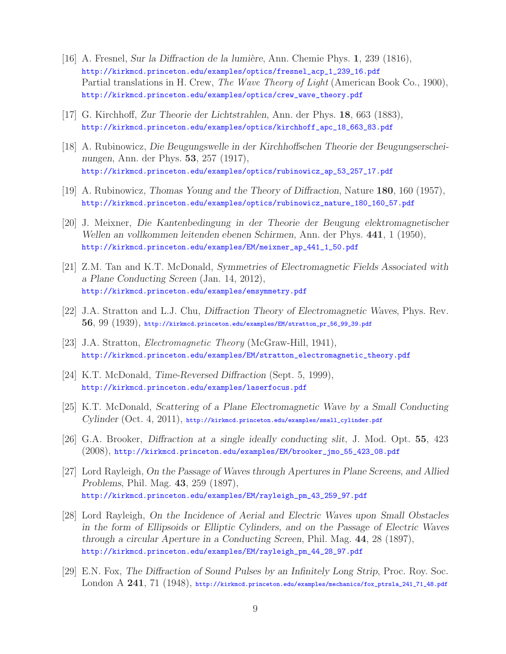- [16] A. Fresnel, *Sur la Diffraction de la lumière*, Ann. Chemie Phys. **1**, 239 (1816), http://kirkmcd.princeton.edu/examples/optics/fresnel\_acp\_1\_239\_16.pdf Partial translations in H. Crew, *The Wave Theory of Light* (American Book Co., 1900), http://kirkmcd.princeton.edu/examples/optics/crew\_wave\_theory.pdf
- [17] G. Kirchhoff, *Zur Theorie der Lichtstrahlen*, Ann. der Phys. **18**, 663 (1883), http://kirkmcd.princeton.edu/examples/optics/kirchhoff\_apc\_18\_663\_83.pdf
- [18] A. Rubinowicz, *Die Beugungswelle in der Kirchhoffschen Theorie der Beugungserscheinungen*, Ann. der Phys. **53**, 257 (1917), http://kirkmcd.princeton.edu/examples/optics/rubinowicz\_ap\_53\_257\_17.pdf
- [19] A. Rubinowicz, *Thomas Young and the Theory of Diffraction*, Nature **180**, 160 (1957), http://kirkmcd.princeton.edu/examples/optics/rubinowicz\_nature\_180\_160\_57.pdf
- [20] J. Meixner, *Die Kantenbedingung in der Theorie der Beugung elektromagnetischer Wellen an vollkommen leitenden ebenen Schirmen*, Ann. der Phys. **441**, 1 (1950), http://kirkmcd.princeton.edu/examples/EM/meixner\_ap\_441\_1\_50.pdf
- [21] Z.M. Tan and K.T. McDonald, *Symmetries of Electromagnetic Fields Associated with a Plane Conducting Screen* (Jan. 14, 2012), http://kirkmcd.princeton.edu/examples/emsymmetry.pdf
- [22] J.A. Stratton and L.J. Chu, *Diffraction Theory of Electromagnetic Waves*, Phys. Rev. **56**, 99 (1939), http://kirkmcd.princeton.edu/examples/EM/stratton\_pr\_56\_99\_39.pdf
- [23] J.A. Stratton, *Electromagnetic Theory* (McGraw-Hill, 1941), http://kirkmcd.princeton.edu/examples/EM/stratton\_electromagnetic\_theory.pdf
- [24] K.T. McDonald, *Time-Reversed Diffraction* (Sept. 5, 1999), http://kirkmcd.princeton.edu/examples/laserfocus.pdf
- [25] K.T. McDonald, *Scattering of a Plane Electromagnetic Wave by a Small Conducting Cylinder* (Oct. 4, 2011), http://kirkmcd.princeton.edu/examples/small\_cylinder.pdf
- [26] G.A. Brooker, *Diffraction at a single ideally conducting slit*, J. Mod. Opt. **55**, 423 (2008), http://kirkmcd.princeton.edu/examples/EM/brooker\_jmo\_55\_423\_08.pdf
- [27] Lord Rayleigh, *On the Passage of Waves through Apertures in Plane Screens, and Allied Problems*, Phil. Mag. **43**, 259 (1897), http://kirkmcd.princeton.edu/examples/EM/rayleigh\_pm\_43\_259\_97.pdf
- [28] Lord Rayleigh, *On the Incidence of Aerial and Electric Waves upon Small Obstacles in the form of Ellipsoids or Elliptic Cylinders, and on the Passage of Electric Waves through a circular Aperture in a Conducting Screen*, Phil. Mag. **44**, 28 (1897), http://kirkmcd.princeton.edu/examples/EM/rayleigh\_pm\_44\_28\_97.pdf
- [29] E.N. Fox, *The Diffraction of Sound Pulses by an Infinitely Long Strip*, Proc. Roy. Soc. London A **241**, 71 (1948), http://kirkmcd.princeton.edu/examples/mechanics/fox\_ptrsla\_241\_71\_48.pdf